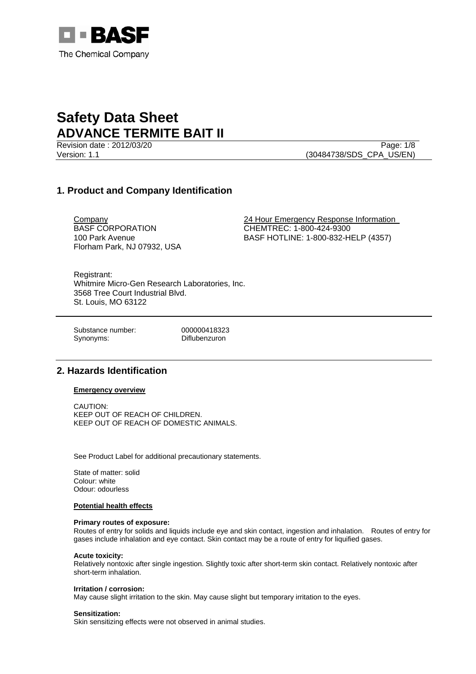

Revision date : 2012/03/20 Page: 1/8 Version: 1.1 (30484738/SDS\_CPA\_US/EN)

# **1. Product and Company Identification**

BASF CORPORATION 100 Park Avenue Florham Park, NJ 07932, USA

Company 24 Hour Emergency Response Information CHEMTREC: 1-800-424-9300 BASF HOTLINE: 1-800-832-HELP (4357)

Registrant: Whitmire Micro-Gen Research Laboratories, Inc. 3568 Tree Court Industrial Blvd. St. Louis, MO 63122

Substance number: 000000418323 Synonyms: Diflubenzuron

# **2. Hazards Identification**

## **Emergency overview**

CAUTION: KEEP OUT OF REACH OF CHILDREN. KEEP OUT OF REACH OF DOMESTIC ANIMALS.

See Product Label for additional precautionary statements.

State of matter: solid Colour: white Odour: odourless

## **Potential health effects**

#### **Primary routes of exposure:**

Routes of entry for solids and liquids include eye and skin contact, ingestion and inhalation. Routes of entry for gases include inhalation and eye contact. Skin contact may be a route of entry for liquified gases.

#### **Acute toxicity:**

Relatively nontoxic after single ingestion. Slightly toxic after short-term skin contact. Relatively nontoxic after short-term inhalation.

#### **Irritation / corrosion:**

May cause slight irritation to the skin. May cause slight but temporary irritation to the eyes.

## **Sensitization:**

Skin sensitizing effects were not observed in animal studies.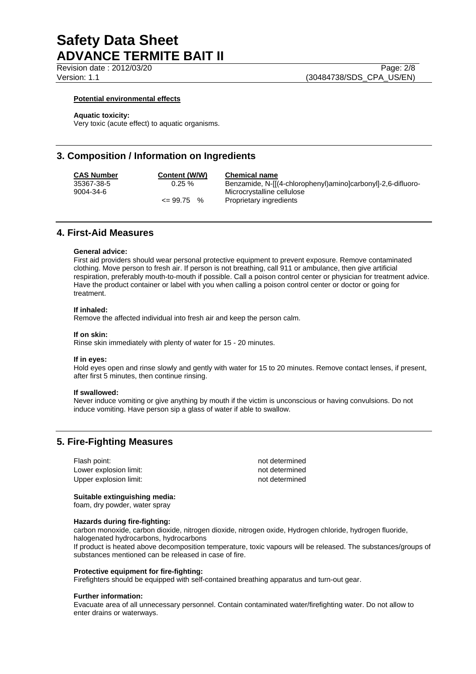Revision date : 2012/03/20 Page: 2/8

Version: 1.1 (30484738/SDS\_CPA\_US/EN)

## **Potential environmental effects**

#### **Aquatic toxicity:**

Very toxic (acute effect) to aquatic organisms.

## **3. Composition / Information on Ingredients**

**CAS Number Content (W/W) Chemical name** 35367-38-5 0.25 % Benzamide, N-[[(4-chlorophenyl)amino]carbonyl]-2,6-difluoro-Microcrystalline cellulose <= 99.75 % Proprietary ingredients

# **4. First-Aid Measures**

#### **General advice:**

First aid providers should wear personal protective equipment to prevent exposure. Remove contaminated clothing. Move person to fresh air. If person is not breathing, call 911 or ambulance, then give artificial respiration, preferably mouth-to-mouth if possible. Call a poison control center or physician for treatment advice. Have the product container or label with you when calling a poison control center or doctor or going for treatment.

#### **If inhaled:**

Remove the affected individual into fresh air and keep the person calm.

## **If on skin:**

Rinse skin immediately with plenty of water for 15 - 20 minutes.

#### **If in eyes:**

Hold eyes open and rinse slowly and gently with water for 15 to 20 minutes. Remove contact lenses, if present, after first 5 minutes, then continue rinsing.

#### **If swallowed:**

Never induce vomiting or give anything by mouth if the victim is unconscious or having convulsions. Do not induce vomiting. Have person sip a glass of water if able to swallow.

# **5. Fire-Fighting Measures**

Flash point: not determined Lower explosion limit:  $\qquad \qquad \qquad$  not determined Upper explosion limit:  $\blacksquare$ 

### **Suitable extinguishing media:**

foam, dry powder, water spray

### **Hazards during fire-fighting:**

carbon monoxide, carbon dioxide, nitrogen dioxide, nitrogen oxide, Hydrogen chloride, hydrogen fluoride, halogenated hydrocarbons, hydrocarbons

If product is heated above decomposition temperature, toxic vapours will be released. The substances/groups of substances mentioned can be released in case of fire.

#### **Protective equipment for fire-fighting:**

Firefighters should be equipped with self-contained breathing apparatus and turn-out gear.

#### **Further information:**

Evacuate area of all unnecessary personnel. Contain contaminated water/firefighting water. Do not allow to enter drains or waterways.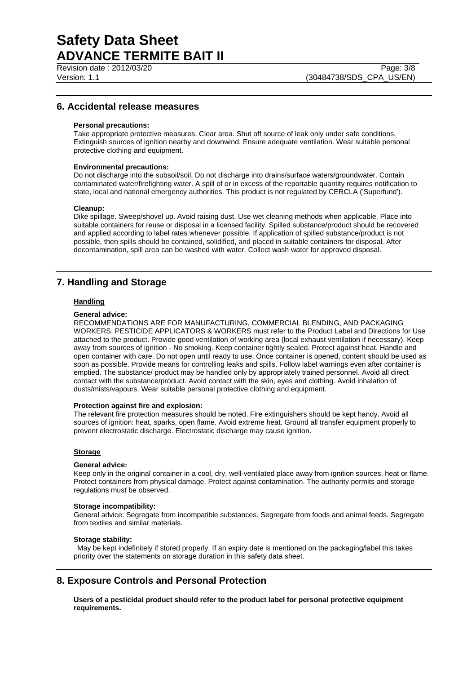Revision date : 2012/03/20

Version: 1.1 (30484738/SDS\_CPA\_US/EN)

# **6. Accidental release measures**

### **Personal precautions:**

Take appropriate protective measures. Clear area. Shut off source of leak only under safe conditions. Extinguish sources of ignition nearby and downwind. Ensure adequate ventilation. Wear suitable personal protective clothing and equipment.

## **Environmental precautions:**

Do not discharge into the subsoil/soil. Do not discharge into drains/surface waters/groundwater. Contain contaminated water/firefighting water. A spill of or in excess of the reportable quantity requires notification to state, local and national emergency authorities. This product is not regulated by CERCLA ('Superfund').

#### **Cleanup:**

Dike spillage. Sweep/shovel up. Avoid raising dust. Use wet cleaning methods when applicable. Place into suitable containers for reuse or disposal in a licensed facility. Spilled substance/product should be recovered and applied according to label rates whenever possible. If application of spilled substance/product is not possible, then spills should be contained, solidified, and placed in suitable containers for disposal. After decontamination, spill area can be washed with water. Collect wash water for approved disposal.

# **7. Handling and Storage**

## **Handling**

#### **General advice:**

RECOMMENDATIONS ARE FOR MANUFACTURING, COMMERCIAL BLENDING, AND PACKAGING WORKERS. PESTICIDE APPLICATORS & WORKERS must refer to the Product Label and Directions for Use attached to the product. Provide good ventilation of working area (local exhaust ventilation if necessary). Keep away from sources of ignition - No smoking. Keep container tightly sealed. Protect against heat. Handle and open container with care. Do not open until ready to use. Once container is opened, content should be used as soon as possible. Provide means for controlling leaks and spills. Follow label warnings even after container is emptied. The substance/ product may be handled only by appropriately trained personnel. Avoid all direct contact with the substance/product. Avoid contact with the skin, eyes and clothing. Avoid inhalation of dusts/mists/vapours. Wear suitable personal protective clothing and equipment.

### **Protection against fire and explosion:**

The relevant fire protection measures should be noted. Fire extinguishers should be kept handy. Avoid all sources of ignition: heat, sparks, open flame. Avoid extreme heat. Ground all transfer equipment properly to prevent electrostatic discharge. Electrostatic discharge may cause ignition.

## **Storage**

#### **General advice:**

Keep only in the original container in a cool, dry, well-ventilated place away from ignition sources, heat or flame. Protect containers from physical damage. Protect against contamination. The authority permits and storage regulations must be observed.

#### **Storage incompatibility:**

General advice: Segregate from incompatible substances. Segregate from foods and animal feeds. Segregate from textiles and similar materials.

#### **Storage stability:**

 May be kept indefinitely if stored properly. If an expiry date is mentioned on the packaging/label this takes priority over the statements on storage duration in this safety data sheet.

# **8. Exposure Controls and Personal Protection**

**Users of a pesticidal product should refer to the product label for personal protective equipment requirements.**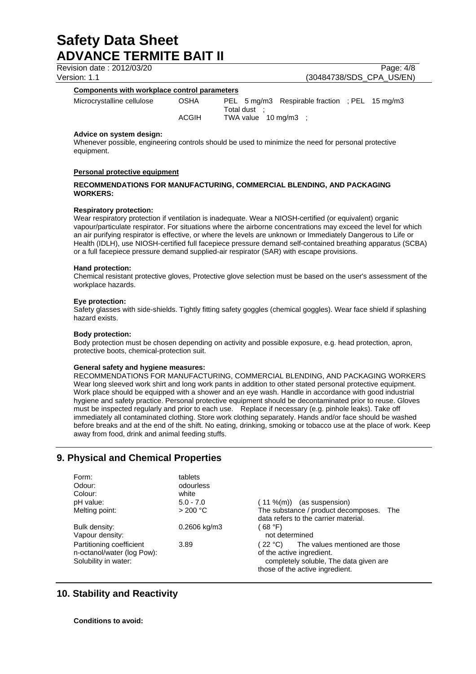Revision date : 2012/03/20 Page: 4/8

Version: 1.1 (30484738/SDS\_CPA\_US/EN)

# **Components with workplace control parameters**

| Microcrystalline cellulose | <b>OSHA</b>  | PEL 5 mg/m3 Respirable fraction : PEL 15 mg/m3 |  |
|----------------------------|--------------|------------------------------------------------|--|
|                            | Total dust   |                                                |  |
|                            | <b>ACGIH</b> | TWA value $10 \text{ mg/m}3$ :                 |  |

## **Advice on system design:**

Whenever possible, engineering controls should be used to minimize the need for personal protective equipment.

## **Personal protective equipment**

## **RECOMMENDATIONS FOR MANUFACTURING, COMMERCIAL BLENDING, AND PACKAGING WORKERS:**

### **Respiratory protection:**

Wear respiratory protection if ventilation is inadequate. Wear a NIOSH-certified (or equivalent) organic vapour/particulate respirator. For situations where the airborne concentrations may exceed the level for which an air purifying respirator is effective, or where the levels are unknown or Immediately Dangerous to Life or Health (IDLH), use NIOSH-certified full facepiece pressure demand self-contained breathing apparatus (SCBA) or a full facepiece pressure demand supplied-air respirator (SAR) with escape provisions.

### **Hand protection:**

Chemical resistant protective gloves, Protective glove selection must be based on the user's assessment of the workplace hazards.

### **Eye protection:**

Safety glasses with side-shields. Tightly fitting safety goggles (chemical goggles). Wear face shield if splashing hazard exists.

## **Body protection:**

Body protection must be chosen depending on activity and possible exposure, e.g. head protection, apron, protective boots, chemical-protection suit.

## **General safety and hygiene measures:**

RECOMMENDATIONS FOR MANUFACTURING, COMMERCIAL BLENDING, AND PACKAGING WORKERS Wear long sleeved work shirt and long work pants in addition to other stated personal protective equipment. Work place should be equipped with a shower and an eye wash. Handle in accordance with good industrial hygiene and safety practice. Personal protective equipment should be decontaminated prior to reuse. Gloves must be inspected regularly and prior to each use. Replace if necessary (e.g. pinhole leaks). Take off immediately all contaminated clothing. Store work clothing separately. Hands and/or face should be washed before breaks and at the end of the shift. No eating, drinking, smoking or tobacco use at the place of work. Keep away from food, drink and animal feeding stuffs.

# **9. Physical and Chemical Properties**

| Form:                                                                          | tablets        |                                                                                                                                                     |
|--------------------------------------------------------------------------------|----------------|-----------------------------------------------------------------------------------------------------------------------------------------------------|
| Odour:                                                                         | odourless      |                                                                                                                                                     |
| Colour:                                                                        | white          |                                                                                                                                                     |
| pH value:                                                                      | $5.0 - 7.0$    | ( 11 %(m))<br>(as suspension)                                                                                                                       |
| Melting point:                                                                 | >200 °C        | The substance / product decomposes. The<br>data refers to the carrier material.                                                                     |
| Bulk density:<br>Vapour density:                                               | $0.2606$ kg/m3 | (68 °F)<br>not determined                                                                                                                           |
| Partitioning coefficient<br>n-octanol/water (log Pow):<br>Solubility in water: | 3.89           | The values mentioned are those<br>(22 °C)<br>of the active ingredient.<br>completely soluble, The data given are<br>those of the active ingredient. |

# **10. Stability and Reactivity**

**Conditions to avoid:**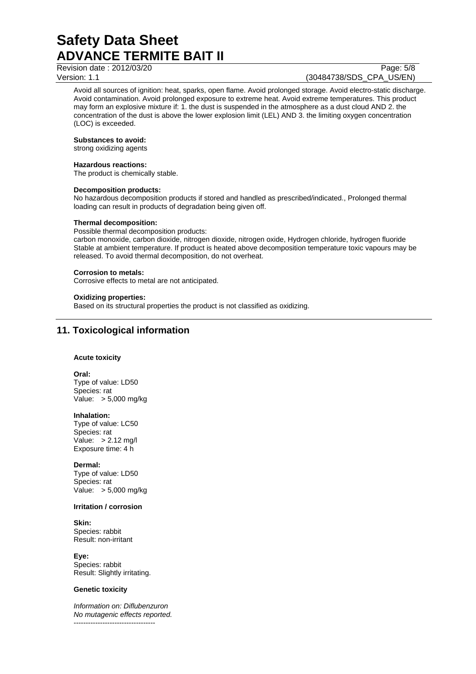Revision date : 2012/03/20 Page: 5/8

# Version: 1.1 (30484738/SDS\_CPA\_US/EN)

Avoid all sources of ignition: heat, sparks, open flame. Avoid prolonged storage. Avoid electro-static discharge. Avoid contamination. Avoid prolonged exposure to extreme heat. Avoid extreme temperatures. This product may form an explosive mixture if: 1. the dust is suspended in the atmosphere as a dust cloud AND 2. the concentration of the dust is above the lower explosion limit (LEL) AND 3. the limiting oxygen concentration (LOC) is exceeded.

## **Substances to avoid:**

strong oxidizing agents

## **Hazardous reactions:**

The product is chemically stable.

## **Decomposition products:**

No hazardous decomposition products if stored and handled as prescribed/indicated., Prolonged thermal loading can result in products of degradation being given off.

## **Thermal decomposition:**

Possible thermal decomposition products:

carbon monoxide, carbon dioxide, nitrogen dioxide, nitrogen oxide, Hydrogen chloride, hydrogen fluoride Stable at ambient temperature. If product is heated above decomposition temperature toxic vapours may be released. To avoid thermal decomposition, do not overheat.

### **Corrosion to metals:**

Corrosive effects to metal are not anticipated.

#### **Oxidizing properties:**

Based on its structural properties the product is not classified as oxidizing.

# **11. Toxicological information**

## **Acute toxicity**

#### **Oral:**

Type of value: LD50 Species: rat Value: > 5,000 mg/kg

### **Inhalation:**

Type of value: LC50 Species: rat Value: > 2.12 mg/l Exposure time: 4 h

#### **Dermal:**

Type of value: LD50 Species: rat Value: > 5,000 mg/kg

#### **Irritation / corrosion**

# **Skin:**

Species: rabbit Result: non-irritant

**Eye:** Species: rabbit Result: Slightly irritating.

## **Genetic toxicity**

*Information on: Diflubenzuron No mutagenic effects reported.*  ----------------------------------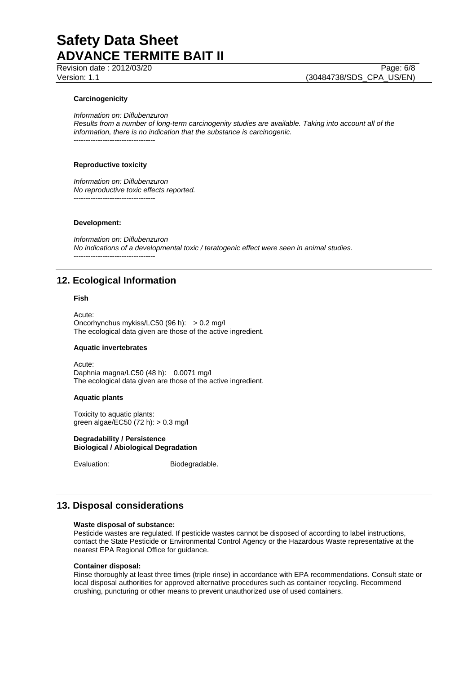Revision date : 2012/03/20

Version: 1.1 (30484738/SDS\_CPA\_US/EN)

## **Carcinogenicity**

*Information on: Diflubenzuron* 

*Results from a number of long-term carcinogenity studies are available. Taking into account all of the information, there is no indication that the substance is carcinogenic.*  ----------------------------------

#### **Reproductive toxicity**

*Information on: Diflubenzuron No reproductive toxic effects reported.*  ----------------------------------

## **Development:**

*Information on: Diflubenzuron No indications of a developmental toxic / teratogenic effect were seen in animal studies.*  ----------------------------------

# **12. Ecological Information**

#### **Fish**

Acute: Oncorhynchus mykiss/LC50 (96 h): > 0.2 mg/l The ecological data given are those of the active ingredient.

#### **Aquatic invertebrates**

Acute: Daphnia magna/LC50 (48 h): 0.0071 mg/l The ecological data given are those of the active ingredient.

## **Aquatic plants**

Toxicity to aquatic plants: green algae/EC50 (72 h): > 0.3 mg/l

#### **Degradability / Persistence Biological / Abiological Degradation**

Evaluation: Biodegradable.

# **13. Disposal considerations**

#### **Waste disposal of substance:**

Pesticide wastes are regulated. If pesticide wastes cannot be disposed of according to label instructions, contact the State Pesticide or Environmental Control Agency or the Hazardous Waste representative at the nearest EPA Regional Office for guidance.

#### **Container disposal:**

Rinse thoroughly at least three times (triple rinse) in accordance with EPA recommendations. Consult state or local disposal authorities for approved alternative procedures such as container recycling. Recommend crushing, puncturing or other means to prevent unauthorized use of used containers.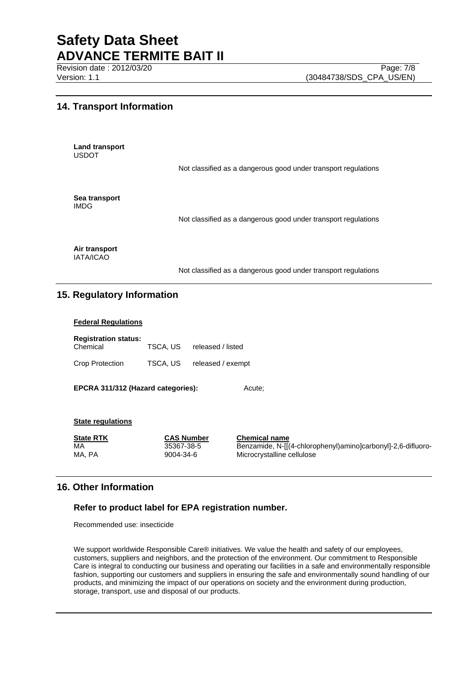Revision date : 2012/03/20

# **14. Transport Information**

**Land transport**  USDOT

Not classified as a dangerous good under transport regulations

**Sea transport**  IMDG

Not classified as a dangerous good under transport regulations

**Air transport**  IATA/ICAO

Not classified as a dangerous good under transport regulations

# **15. Regulatory Information**

# **Federal Regulations**

| <b>Registration status:</b> |          |                   |  |
|-----------------------------|----------|-------------------|--|
| Chemical                    | TSCA. US | released / listed |  |
| Crop Protection             | TSCA, US | released / exempt |  |

**EPCRA 311/312 (Hazard categories):** Acute;

## **State regulations**

| <b>State RTK</b> | <b>CAS Number</b>       | <b>Chemical name</b>                                                                       |
|------------------|-------------------------|--------------------------------------------------------------------------------------------|
| MA<br>MA. PA     | 35367-38-5<br>9004-34-6 | Benzamide, N-[[(4-chlorophenyl)amino]carbonyl]-2,6-difluoro-<br>Microcrystalline cellulose |
|                  |                         |                                                                                            |

# **16. Other Information**

# **Refer to product label for EPA registration number.**

Recommended use: insecticide

We support worldwide Responsible Care® initiatives. We value the health and safety of our employees, customers, suppliers and neighbors, and the protection of the environment. Our commitment to Responsible Care is integral to conducting our business and operating our facilities in a safe and environmentally responsible fashion, supporting our customers and suppliers in ensuring the safe and environmentally sound handling of our products, and minimizing the impact of our operations on society and the environment during production, storage, transport, use and disposal of our products.